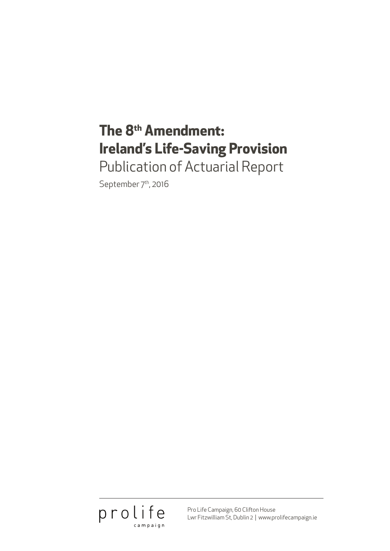# **The 8th Amendment: Ireland's Life-Saving Provision**

Publication of Actuarial Report

September 7<sup>th</sup>, 2016



Pro Life Campaign, 60 Clifton House Lwr Fitzwilliam St, Dublin 2 | www.prolifecampaign.ie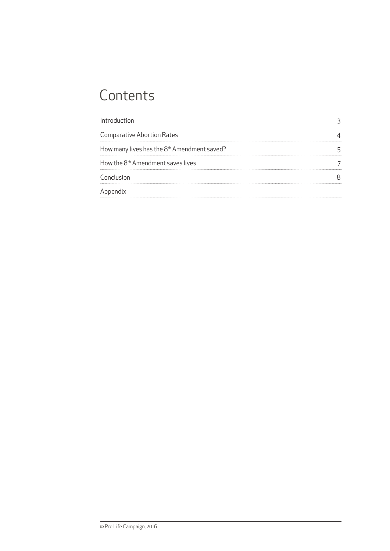## **Contents**

| Introduction                                            |  |
|---------------------------------------------------------|--|
| Comparative Abortion Rates                              |  |
| How many lives has the 8 <sup>th</sup> Amendment saved? |  |
| How the 8 <sup>th</sup> Amendment saves lives           |  |
| Conclusion                                              |  |
| Appendix                                                |  |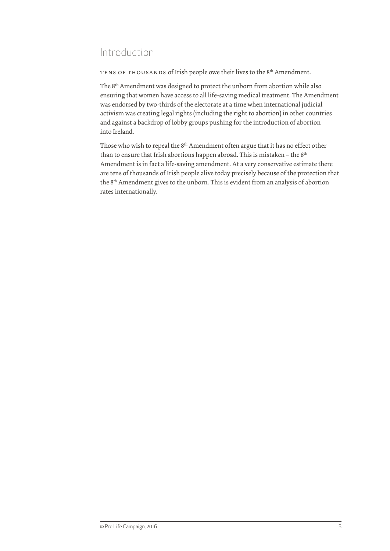### Introduction

tens of thousands of Irish people owe their lives to the 8th Amendment.

The 8th Amendment was designed to protect the unborn from abortion while also ensuring that women have access to all life-saving medical treatment. The Amendment was endorsed by two-thirds of the electorate at a time when international judicial activism was creating legal rights (including the right to abortion) in other countries and against a backdrop of lobby groups pushing for the introduction of abortion into Ireland.

Those who wish to repeal the 8<sup>th</sup> Amendment often argue that it has no effect other than to ensure that Irish abortions happen abroad. This is mistaken - the 8<sup>th</sup> Amendment is in fact a life-saving amendment. At a very conservative estimate there are tens of thousands of Irish people alive today precisely because of the protection that the 8th Amendment gives to the unborn. This is evident from an analysis of abortion rates internationally.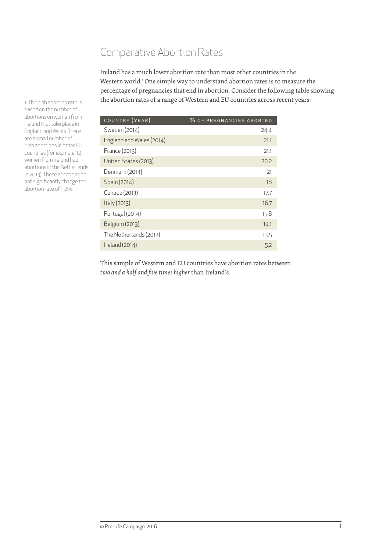### Comparative Abortion Rates

Ireland has a much lower abortion rate than most other countries in the Western world.<sup>1</sup> One simple way to understand abortion rates is to measure the percentage of pregnancies that end in abortion. Consider the following table showing the abortion rates of a range of Western and EU countries across recent years:

| COUNTRY (YEAR)           | <b>% OF PREGNANCIES ABORTED</b> |
|--------------------------|---------------------------------|
| Sweden (2014)            | 24.4                            |
| England and Wales (2014) | 21.1                            |
| France (2013)            | 21.1                            |
| United States (2013)     | 20.2                            |
| Denmark (2014)           | 21                              |
| Spain (2014)             | 18                              |
| Canada (2013)            | 17.7                            |
| Italy (2013)             | 16.7                            |
| Portugal (2014)          | 15.8                            |
| Belgium (2013)           | 14.1                            |
| The Netherlands (2013)   | 13.5                            |
| Ireland (2014)           | 5.2                             |

This sample of Western and EU countries have abortion rates between *two and a half and five times higher* than Ireland's.

1: The Irish abortion rate is based on the number of abortions on women from Ireland that take place in England and Wales. There are a small number of Irish abortions in other EU countries (for example, 12 women from Ireland had abortions in the Netherlands in 2013). These abortions do not significantly change the abortion rate of 5.2%.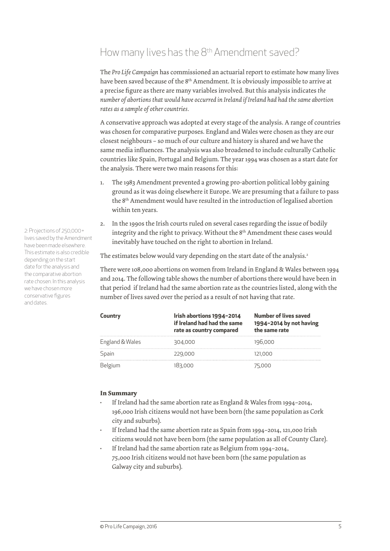### How many lives has the 8th Amendment saved?

The *Pro Life Campaign* has commissioned an actuarial report to estimate how many lives have been saved because of the 8<sup>th</sup> Amendment. It is obviously impossible to arrive at a precise figure as there are many variables involved. But this analysis indicates *the number of abortions that would have occurred in Ireland if Ireland had had the same abortion rates as a sample of other countries.* 

A conservative approach was adopted at every stage of the analysis. A range of countries was chosen for comparative purposes. England and Wales were chosen as they are our closest neighbours – so much of our culture and history is shared and we have the same media influences. The analysis was also broadened to include culturally Catholic countries like Spain, Portugal and Belgium. The year 1994 was chosen as a start date for the analysis. There were two main reasons for this:

- 1. The 1983 Amendment prevented a growing pro-abortion political lobby gaining ground as it was doing elsewhere it Europe. We are presuming that a failure to pass the 8th Amendment would have resulted in the introduction of legalised abortion within ten years.
- 2. In the 1990s the Irish courts ruled on several cases regarding the issue of bodily integrity and the right to privacy. Without the 8<sup>th</sup> Amendment these cases would inevitably have touched on the right to abortion in Ireland.

The estimates below would vary depending on the start date of the analysis.<sup>2</sup>

There were 108,000 abortions on women from Ireland in England & Wales between 1994 and 2014. The following table shows the number of abortions there would have been in that period if Ireland had the same abortion rate as the countries listed, along with the number of lives saved over the period as a result of not having that rate.

| <b>Country</b>  | Irish abortions 1994-2014<br>if Ireland had had the same<br>rate as country compared | <b>Number of lives saved</b><br>1994-2014 by not having<br>the same rate |  |
|-----------------|--------------------------------------------------------------------------------------|--------------------------------------------------------------------------|--|
| England & Wales | 304,000                                                                              | 196.000                                                                  |  |
| Spain           | 229,000                                                                              | 121.000                                                                  |  |
| Belgium         |                                                                                      |                                                                          |  |

#### **In Summary**

- If Ireland had the same abortion rate as England & Wales from 1994–2014, 196,000 Irish citizens would not have been born (the same population as Cork city and suburbs).
- If Ireland had the same abortion rate as Spain from 1994-2014, 121,000 Irish citizens would not have been born (the same population as all of County Clare).
- If Ireland had the same abortion rate as Belgium from 1994–2014, 75,000 Irish citizens would not have been born (the same population as Galway city and suburbs).

2: Projections of 250,000+ lives saved by the Amendment have been made elsewhere. This estimate is also credible depending on the start date for the analysis and the comparative abortion rate chosen. In this analysis we have chosen more conservative figures and dates.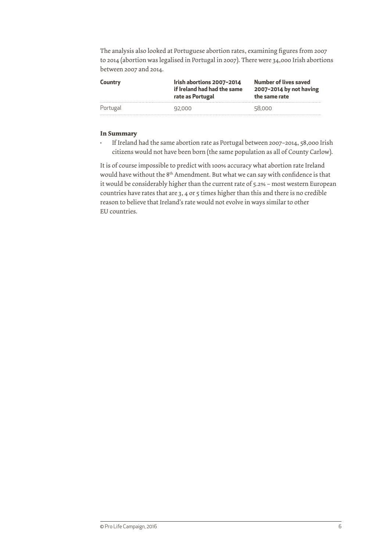| <b>Country</b> | lrish abortions 2007-2014<br>if Ireland had had the same<br>rate as Portugal | <b>Number of lives saved</b><br>2007-2014 by not having<br>the same rate |  |
|----------------|------------------------------------------------------------------------------|--------------------------------------------------------------------------|--|
| Portugal       | 92,000                                                                       | 58,000                                                                   |  |

The analysis also looked at Portuguese abortion rates, examining figures from 2007 to 2014 (abortion was legalised in Portugal in 2007). There were 34,000 Irish abortions between 2007 and 2014.

#### **In Summary**

• If Ireland had the same abortion rate as Portugal between 2007–2014, 58,000 Irish citizens would not have been born (the same population as all of County Carlow).

It is of course impossible to predict with 100% accuracy what abortion rate Ireland would have without the 8<sup>th</sup> Amendment. But what we can say with confidence is that it would be considerably higher than the current rate of 5.2% – most western European countries have rates that are 3, 4 or 5 times higher than this and there is no credible reason to believe that Ireland's rate would not evolve in ways similar to other EU countries.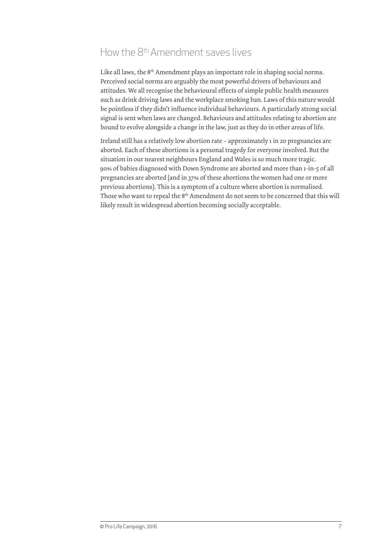### How the 8th Amendment saves lives

Like all laws, the 8<sup>th</sup> Amendment plays an important role in shaping social norms. Perceived social norms are arguably the most powerful drivers of behaviours and attitudes. We all recognise the behavioural effects of simple public health measures such as drink driving laws and the workplace smoking ban. Laws of this nature would be pointless if they didn't influence individual behaviours. A particularly strong social signal is sent when laws are changed. Behaviours and attitudes relating to abortion are bound to evolve alongside a change in the law, just as they do in other areas of life.

Ireland still has a relatively low abortion rate – approximately 1 in 20 pregnancies are aborted. Each of these abortions is a personal tragedy for everyone involved. But the situation in our nearest neighbours England and Wales is so much more tragic. 90% of babies diagnosed with Down Syndrome are aborted and more than 1-in-5 of all pregnancies are aborted (and in 37% of these abortions the women had one or more previous abortions). This is a symptom of a culture where abortion is normalised. Those who want to repeal the 8<sup>th</sup> Amendment do not seem to be concerned that this will likely result in widespread abortion becoming socially acceptable.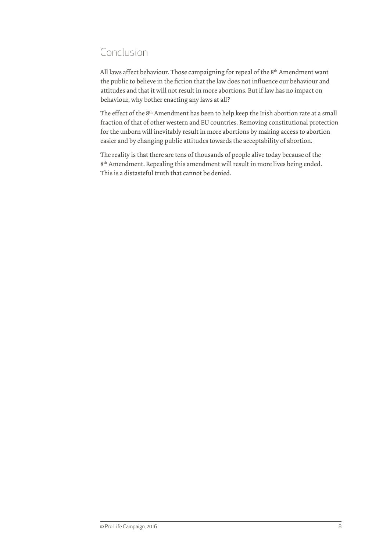### Conclusion

All laws affect behaviour. Those campaigning for repeal of the 8<sup>th</sup> Amendment want the public to believe in the fiction that the law does not influence our behaviour and attitudes and that it will not result in more abortions. But if law has no impact on behaviour, why bother enacting any laws at all?

The effect of the 8<sup>th</sup> Amendment has been to help keep the Irish abortion rate at a small fraction of that of other western and EU countries. Removing constitutional protection for the unborn will inevitably result in more abortions by making access to abortion easier and by changing public attitudes towards the acceptability of abortion.

The reality is that there are tens of thousands of people alive today because of the 8th Amendment. Repealing this amendment will result in more lives being ended. This is a distasteful truth that cannot be denied.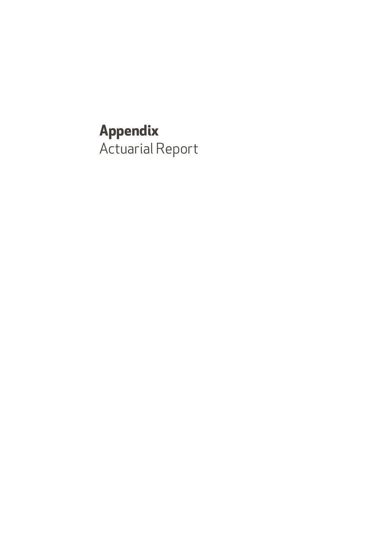**Appendix** Actuarial Report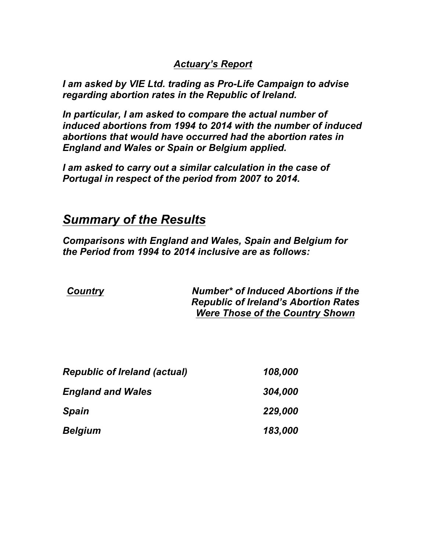### *Actuary's Report*

*I am asked by VIE Ltd. trading as Pro-Life Campaign to advise regarding abortion rates in the Republic of Ireland.* 

*In particular, I am asked to compare the actual number of induced abortions from 1994 to 2014 with the number of induced abortions that would have occurred had the abortion rates in England and Wales or Spain or Belgium applied.* 

*I am asked to carry out a similar calculation in the case of Portugal in respect of the period from 2007 to 2014.*

### *Summary of the Results*

*Comparisons with England and Wales, Spain and Belgium for the Period from 1994 to 2014 inclusive are as follows:*

| <b>Country</b> | <b>Number* of Induced Abortions if the</b>  |
|----------------|---------------------------------------------|
|                | <b>Republic of Ireland's Abortion Rates</b> |
|                | Were Those of the Country Shown             |

| <b>Republic of Ireland (actual)</b> | 108,000 |  |
|-------------------------------------|---------|--|
| <b>England and Wales</b>            | 304,000 |  |
| <b>Spain</b>                        | 229,000 |  |
| <b>Belgium</b>                      | 183,000 |  |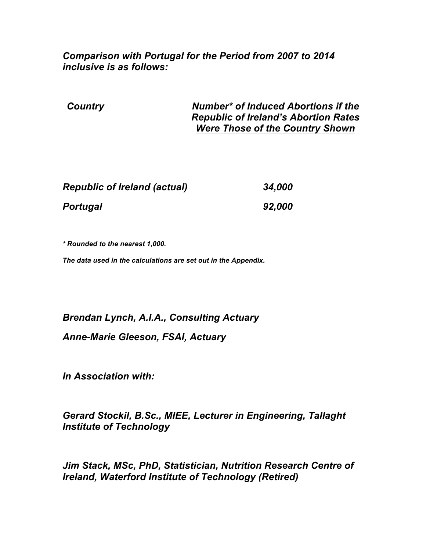*Comparison with Portugal for the Period from 2007 to 2014 inclusive is as follows:*

| <b>Country</b> | <b>Number* of Induced Abortions if the</b>  |
|----------------|---------------------------------------------|
|                | <b>Republic of Ireland's Abortion Rates</b> |
|                | <b>Were Those of the Country Shown</b>      |

| <b>Republic of Ireland (actual)</b> | 34,000 |
|-------------------------------------|--------|
| Portugal                            | 92,000 |

*\* Rounded to the nearest 1,000.*

*The data used in the calculations are set out in the Appendix.*

*Brendan Lynch, A.I.A., Consulting Actuary*

*Anne-Marie Gleeson, FSAI, Actuary*

*In Association with:*

*Gerard Stockil, B.Sc., MIEE, Lecturer in Engineering, Tallaght Institute of Technology*

*Jim Stack, MSc, PhD, Statistician, Nutrition Research Centre of Ireland, Waterford Institute of Technology (Retired)*